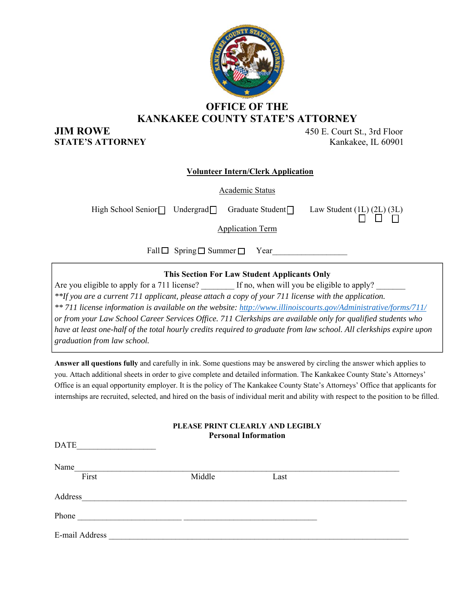

## **OFFICE OF THE KANKAKEE COUNTY STATE'S ATTORNEY**

**JIM ROWE** 450 E. Court St., 3rd Floor **STATE'S ATTORNEY** Kankakee, IL 60901

#### **Volunteer Intern/Clerk Application**

Academic Status

High School Senior  $\Box$  Undergrad Graduate Student  $\Box$  Law Student ( $\underline{1L}$ ) ( $\underline{2L}$ ) ( $\underline{3L}$ ) n o n

Application Term

Fall  $\Box$  Spring  $\Box$  Summer  $\Box$  Year

**This Section For Law Student Applicants Only** 

Are you eligible to apply for a 711 license? If no, when will you be eligible to apply? *\*\*If you are a current 711 applicant, please attach a copy of your 711 license with the application. \*\* 711 license information is available on the website: http://www.illinoiscourts.gov/Administrative/forms/711/ or from your Law School Career Services Office. 711 Clerkships are available only for qualified students who have at least one-half of the total hourly credits required to graduate from law school. All clerkships expire upon graduation from law school.* 

**Answer all questions fully** and carefully in ink. Some questions may be answered by circling the answer which applies to you. Attach additional sheets in order to give complete and detailed information. The Kankakee County State's Attorneys' Office is an equal opportunity employer. It is the policy of The Kankakee County State's Attorneys' Office that applicants for internships are recruited, selected, and hired on the basis of individual merit and ability with respect to the position to be filled.

| PLEASE PRINT CLEARLY AND LEGIBLY<br><b>Personal Information</b> |        |      |  |  |
|-----------------------------------------------------------------|--------|------|--|--|
| <b>DATE</b>                                                     |        |      |  |  |
| Name                                                            |        |      |  |  |
| First                                                           | Middle | Last |  |  |
| Address                                                         |        |      |  |  |
| Phone                                                           |        |      |  |  |
| E-mail Address                                                  |        |      |  |  |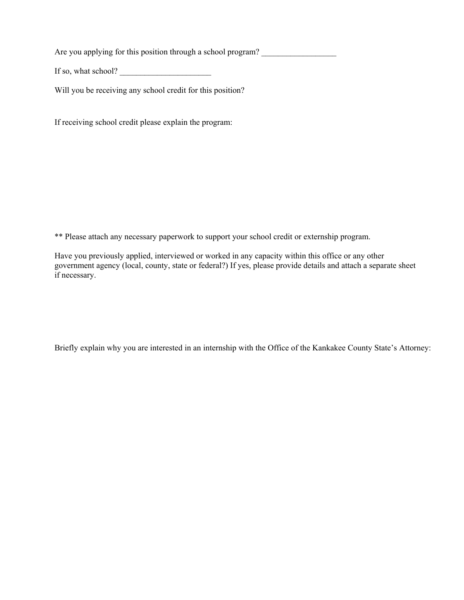Are you applying for this position through a school program?

If so, what school?

Will you be receiving any school credit for this position?

If receiving school credit please explain the program:

\*\* Please attach any necessary paperwork to support your school credit or externship program.

Have you previously applied, interviewed or worked in any capacity within this office or any other government agency (local, county, state or federal?) If yes, please provide details and attach a separate sheet if necessary.

Briefly explain why you are interested in an internship with the Office of the Kankakee County State's Attorney: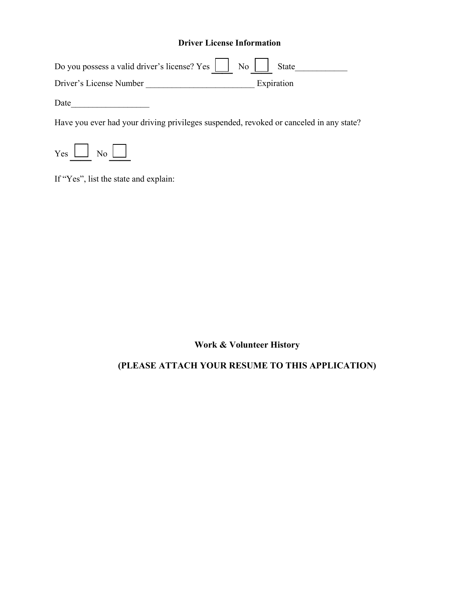### **Driver License Information**

| Do you possess a valid driver's license? Yes     No     State |  |            |  |
|---------------------------------------------------------------|--|------------|--|
| Driver's License Number                                       |  | Expiration |  |

Date\_\_\_\_\_\_\_\_\_\_\_\_\_\_\_\_\_\_

Have you ever had your driving privileges suspended, revoked or canceled in any state?



If "Yes", list the state and explain:

**Work & Volunteer History** 

## **(PLEASE ATTACH YOUR RESUME TO THIS APPLICATION)**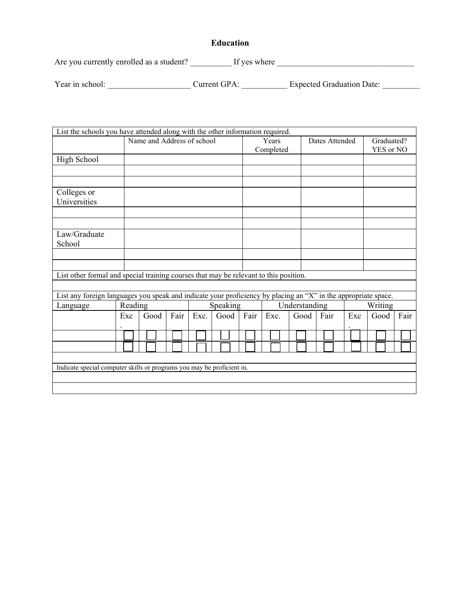### **Education**

Are you currently enrolled as a student? \_\_\_\_\_\_\_\_\_\_ If yes where \_\_\_\_\_\_\_\_\_\_\_\_\_\_\_\_\_\_\_\_\_\_\_\_\_\_\_\_\_\_\_\_\_

| Year in school: | Current GPA: | <b>Expected Graduation Date:</b> |  |
|-----------------|--------------|----------------------------------|--|
|                 |              |                                  |  |

| List the schools you have attended along with the other information required.                                  |     |                            |      |      |               |      |           |         |                |     |            |      |
|----------------------------------------------------------------------------------------------------------------|-----|----------------------------|------|------|---------------|------|-----------|---------|----------------|-----|------------|------|
|                                                                                                                |     | Name and Address of school |      |      |               |      | Years     |         | Dates Attended |     | Graduated? |      |
|                                                                                                                |     |                            |      |      |               |      | Completed |         |                |     | YES or NO  |      |
| High School                                                                                                    |     |                            |      |      |               |      |           |         |                |     |            |      |
|                                                                                                                |     |                            |      |      |               |      |           |         |                |     |            |      |
|                                                                                                                |     |                            |      |      |               |      |           |         |                |     |            |      |
| Colleges or                                                                                                    |     |                            |      |      |               |      |           |         |                |     |            |      |
| Universities                                                                                                   |     |                            |      |      |               |      |           |         |                |     |            |      |
|                                                                                                                |     |                            |      |      |               |      |           |         |                |     |            |      |
|                                                                                                                |     |                            |      |      |               |      |           |         |                |     |            |      |
| Law/Graduate                                                                                                   |     |                            |      |      |               |      |           |         |                |     |            |      |
| School                                                                                                         |     |                            |      |      |               |      |           |         |                |     |            |      |
|                                                                                                                |     |                            |      |      |               |      |           |         |                |     |            |      |
|                                                                                                                |     |                            |      |      |               |      |           |         |                |     |            |      |
|                                                                                                                |     |                            |      |      |               |      |           |         |                |     |            |      |
| List other formal and special training courses that may be relevant to this position.                          |     |                            |      |      |               |      |           |         |                |     |            |      |
|                                                                                                                |     |                            |      |      |               |      |           |         |                |     |            |      |
| List any foreign languages you speak and indicate your proficiency by placing an "X" in the appropriate space. |     |                            |      |      |               |      |           |         |                |     |            |      |
| Reading<br>Language                                                                                            |     | Speaking                   |      |      | Understanding |      |           | Writing |                |     |            |      |
|                                                                                                                | Exc | Good                       | Fair | Exc. | Good          | Fair | Exc.      | Good    | Fair           | Exc | Good       | Fair |
|                                                                                                                |     |                            |      |      |               |      |           |         |                |     |            |      |
|                                                                                                                |     |                            |      |      |               |      |           |         |                |     |            |      |
|                                                                                                                |     |                            |      |      |               |      |           |         |                |     |            |      |
|                                                                                                                |     |                            |      |      |               |      |           |         |                |     |            |      |
| Indicate special computer skills or programs you may be proficient in.                                         |     |                            |      |      |               |      |           |         |                |     |            |      |
|                                                                                                                |     |                            |      |      |               |      |           |         |                |     |            |      |
|                                                                                                                |     |                            |      |      |               |      |           |         |                |     |            |      |
|                                                                                                                |     |                            |      |      |               |      |           |         |                |     |            |      |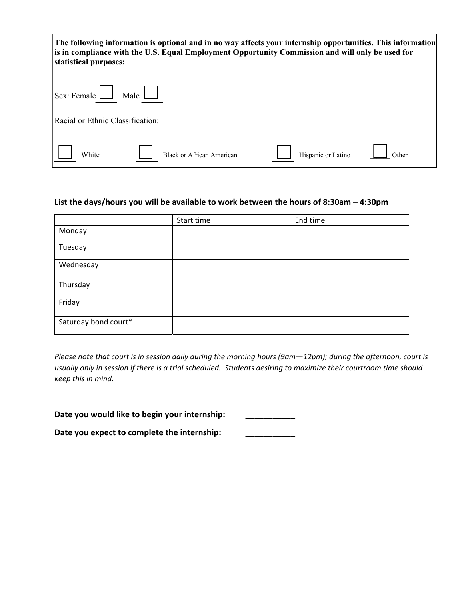**The following information is optional and in no way affects your internship opportunities. This information is in compliance with the U.S. Equal Employment Opportunity Commission and will only be used for statistical purposes:**   $S_{\text{ev}}$ : Female  $\Box$  Male  $\Box$ 

| $\text{Sex:}$ Female $\Box$<br>Male L |                                  |                    |       |
|---------------------------------------|----------------------------------|--------------------|-------|
| Racial or Ethnic Classification:      |                                  |                    |       |
| White                                 | <b>Black or African American</b> | Hispanic or Latino | Other |

### **List the days/hours you will be available to work between the hours of 8:30am – 4:30pm**

|                      | Start time | End time |
|----------------------|------------|----------|
| Monday               |            |          |
| Tuesday              |            |          |
| Wednesday            |            |          |
| Thursday             |            |          |
| Friday               |            |          |
| Saturday bond court* |            |          |

Please note that court is in session daily during the morning hours (9am-12pm); during the afternoon, court is usually only in session if there is a trial scheduled. Students desiring to maximize their courtroom time should *keep this in mind.*

**Date you would like to begin your internship: \_\_\_\_\_\_\_\_\_\_\_**

**Date you expect to complete the internship: \_\_\_\_\_\_\_\_\_\_\_**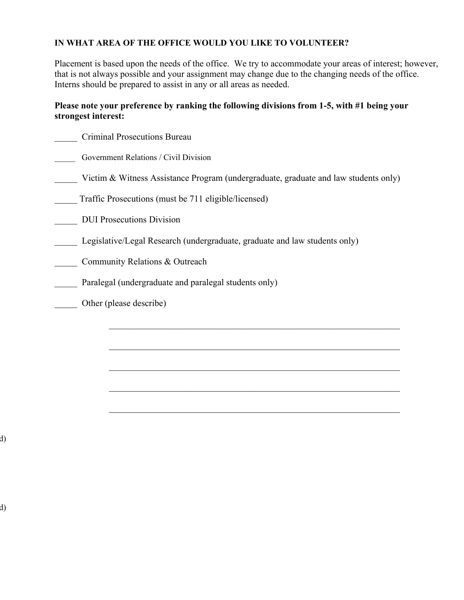#### **IN WHAT AREA OF THE OFFICE WOULD YOU LIKE TO VOLUNTEER?**

Placement is based upon the needs of the office. We try to accommodate your areas of interest; however, that is not always possible and your assignment may change due to the changing needs of the office. Interns should be prepared to assist in any or all areas as needed.

#### **Please note your preference by ranking the following divisions from 1-5, with #1 being your strongest interest:**

| <b>Criminal Prosecutions Bureau</b>                                                 |
|-------------------------------------------------------------------------------------|
| Government Relations / Civil Division                                               |
| Victim & Witness Assistance Program (undergraduate, graduate and law students only) |
| Traffic Prosecutions (must be 711 eligible/licensed)                                |
| <b>DUI Prosecutions Division</b>                                                    |
| Legislative/Legal Research (undergraduate, graduate and law students only)          |
| Community Relations & Outreach                                                      |
| Paralegal (undergraduate and paralegal students only)                               |
| Other (please describe)                                                             |
|                                                                                     |

 $\mathcal{L}_\text{max} = \frac{1}{2} \sum_{i=1}^n \mathcal{L}_\text{max} \left[ \mathcal{L}_\text{max} \left( \mathcal{L}_\text{max} \right) - \mathcal{L}_\text{max} \left( \mathcal{L}_\text{max} \right) \right]$ 

 $\mathcal{L}_\text{max} = \frac{1}{2} \sum_{i=1}^n \mathcal{L}_\text{max} \left[ \mathcal{L}_\text{max} \left( \mathcal{L}_\text{max} \right) - \mathcal{L}_\text{max} \left( \mathcal{L}_\text{max} \right) \right]$ 

 $\mathcal{L}_\text{max} = \mathcal{L}_\text{max} = \mathcal{L}_\text{max} = \mathcal{L}_\text{max} = \mathcal{L}_\text{max} = \mathcal{L}_\text{max} = \mathcal{L}_\text{max} = \mathcal{L}_\text{max} = \mathcal{L}_\text{max} = \mathcal{L}_\text{max} = \mathcal{L}_\text{max} = \mathcal{L}_\text{max} = \mathcal{L}_\text{max} = \mathcal{L}_\text{max} = \mathcal{L}_\text{max} = \mathcal{L}_\text{max} = \mathcal{L}_\text{max} = \mathcal{L}_\text{max} = \mathcal{$ 

 $\mathcal{L}_\text{max} = \frac{1}{2} \sum_{i=1}^n \mathcal{L}_\text{max} \left[ \mathcal{L}_\text{max} \left( \mathcal{L}_\text{max} \right) - \mathcal{L}_\text{max} \left( \mathcal{L}_\text{max} \right) \right]$ 

d)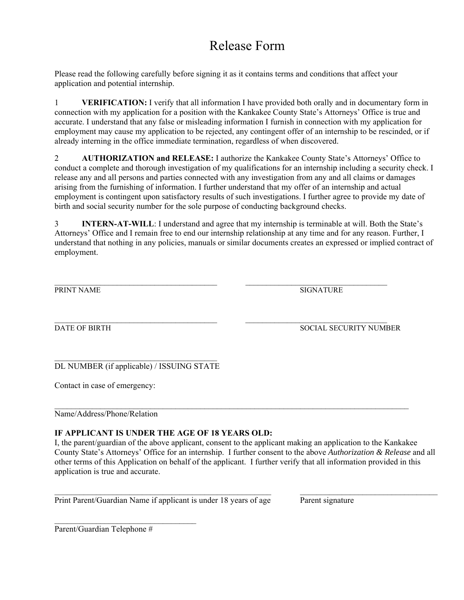# Release Form

Please read the following carefully before signing it as it contains terms and conditions that affect your application and potential internship.

1 **VERIFICATION:** I verify that all information I have provided both orally and in documentary form in connection with my application for a position with the Kankakee County State's Attorneys' Office is true and accurate. I understand that any false or misleading information I furnish in connection with my application for employment may cause my application to be rejected, any contingent offer of an internship to be rescinded, or if already interning in the office immediate termination, regardless of when discovered.

2 **AUTHORIZATION and RELEASE:** I authorize the Kankakee County State's Attorneys' Office to conduct a complete and thorough investigation of my qualifications for an internship including a security check. I release any and all persons and parties connected with any investigation from any and all claims or damages arising from the furnishing of information. I further understand that my offer of an internship and actual employment is contingent upon satisfactory results of such investigations. I further agree to provide my date of birth and social security number for the sole purpose of conducting background checks.

3 **INTERN-AT-WILL**: I understand and agree that my internship is terminable at will. Both the State's Attorneys' Office and I remain free to end our internship relationship at any time and for any reason. Further, I understand that nothing in any policies, manuals or similar documents creates an expressed or implied contract of employment.

\_\_\_\_\_\_\_\_\_\_\_\_\_\_\_\_\_\_\_\_\_\_\_\_\_\_\_\_\_\_\_\_\_\_\_\_\_\_\_ \_\_\_\_\_\_\_\_\_\_\_\_\_\_\_\_\_\_\_\_\_\_\_\_\_\_\_\_\_\_\_\_\_\_ PRINT NAME SIGNATURE

 $\mathcal{L}_\text{max} = \frac{1}{2} \sum_{i=1}^n \mathcal{L}_\text{max}(\mathbf{z}_i - \mathbf{z}_i)$ DATE OF BIRTH SOCIAL SECURITY NUMBER

 $\mathcal{L}_\text{max}$ DL NUMBER (if applicable) / ISSUING STATE

Contact in case of emergency:

Name/Address/Phone/Relation

#### **IF APPLICANT IS UNDER THE AGE OF 18 YEARS OLD:**

I, the parent/guardian of the above applicant, consent to the applicant making an application to the Kankakee County State's Attorneys' Office for an internship. I further consent to the above *Authorization & Release* and all other terms of this Application on behalf of the applicant. I further verify that all information provided in this application is true and accurate.

 $\mathcal{L}_\mathcal{L} = \{ \mathcal{L}_\mathcal{L} = \{ \mathcal{L}_\mathcal{L} = \{ \mathcal{L}_\mathcal{L} = \{ \mathcal{L}_\mathcal{L} = \{ \mathcal{L}_\mathcal{L} = \{ \mathcal{L}_\mathcal{L} = \{ \mathcal{L}_\mathcal{L} = \{ \mathcal{L}_\mathcal{L} = \{ \mathcal{L}_\mathcal{L} = \{ \mathcal{L}_\mathcal{L} = \{ \mathcal{L}_\mathcal{L} = \{ \mathcal{L}_\mathcal{L} = \{ \mathcal{L}_\mathcal{L} = \{ \mathcal{L}_\mathcal{$ 

 $\_$ 

Print Parent/Guardian Name if applicant is under 18 years of age Parent signature

Parent/Guardian Telephone #

 $\mathcal{L}_\text{max}$